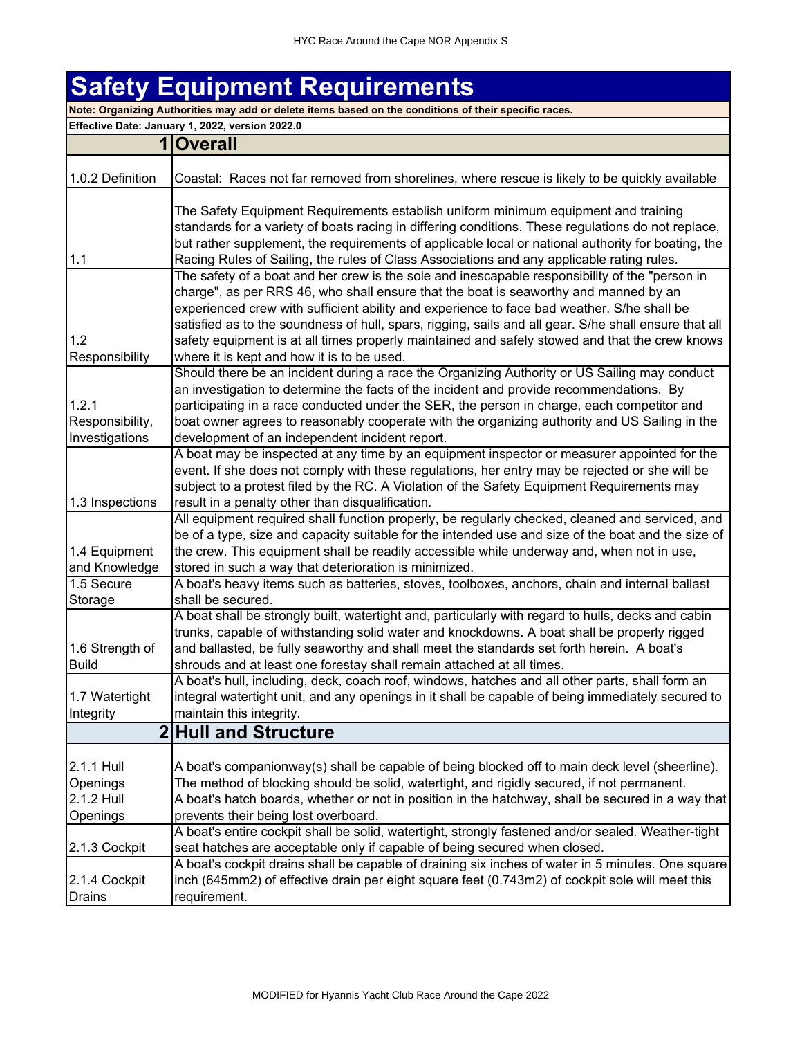## **Safety Equipment Requirements Note: Organizing Authorities may add or delete items based on the conditions of their specific races.**

**Effective Date: January 1, 2022, version 2022.0 1 Overall** 1.0.2 Definition Coastal: Races not far removed from shorelines, where rescue is likely to be quickly available 1.1 The Safety Equipment Requirements establish uniform minimum equipment and training standards for a variety of boats racing in differing conditions. These regulations do not replace, but rather supplement, the requirements of applicable local or national authority for boating, the Racing Rules of Sailing, the rules of Class Associations and any applicable rating rules. 1.2 Responsibility The safety of a boat and her crew is the sole and inescapable responsibility of the "person in charge", as per RRS 46, who shall ensure that the boat is seaworthy and manned by an experienced crew with sufficient ability and experience to face bad weather. S/he shall be satisfied as to the soundness of hull, spars, rigging, sails and all gear. S/he shall ensure that all safety equipment is at all times properly maintained and safely stowed and that the crew knows where it is kept and how it is to be used. 1.2.1 Responsibility, Investigations Should there be an incident during a race the Organizing Authority or US Sailing may conduct an investigation to determine the facts of the incident and provide recommendations. By participating in a race conducted under the SER, the person in charge, each competitor and boat owner agrees to reasonably cooperate with the organizing authority and US Sailing in the development of an independent incident report. 1.3 Inspections A boat may be inspected at any time by an equipment inspector or measurer appointed for the event. If she does not comply with these regulations, her entry may be rejected or she will be subject to a protest filed by the RC. A Violation of the Safety Equipment Requirements may result in a penalty other than disqualification. 1.4 Equipment and Knowledge All equipment required shall function properly, be regularly checked, cleaned and serviced, and be of a type, size and capacity suitable for the intended use and size of the boat and the size of the crew. This equipment shall be readily accessible while underway and, when not in use, stored in such a way that deterioration is minimized. 1.5 Secure Storage A boat's heavy items such as batteries, stoves, toolboxes, anchors, chain and internal ballast shall be secured. 1.6 Strength of Build A boat shall be strongly built, watertight and, particularly with regard to hulls, decks and cabin trunks, capable of withstanding solid water and knockdowns. A boat shall be properly rigged and ballasted, be fully seaworthy and shall meet the standards set forth herein. A boat's shrouds and at least one forestay shall remain attached at all times. 1.7 Watertight Integrity A boat's hull, including, deck, coach roof, windows, hatches and all other parts, shall form an integral watertight unit, and any openings in it shall be capable of being immediately secured to maintain this integrity. **2 Hull and Structure** 2.1.1 Hull **Openings** A boat's companionway(s) shall be capable of being blocked off to main deck level (sheerline). The method of blocking should be solid, watertight, and rigidly secured, if not permanent. 2.1.2 Hull Openings A boat's hatch boards, whether or not in position in the hatchway, shall be secured in a way that prevents their being lost overboard. 2.1.3 Cockpit A boat's entire cockpit shall be solid, watertight, strongly fastened and/or sealed. Weather-tight seat hatches are acceptable only if capable of being secured when closed. 2.1.4 Cockpit Drains A boat's cockpit drains shall be capable of draining six inches of water in 5 minutes. One square inch (645mm2) of effective drain per eight square feet (0.743m2) of cockpit sole will meet this requirement.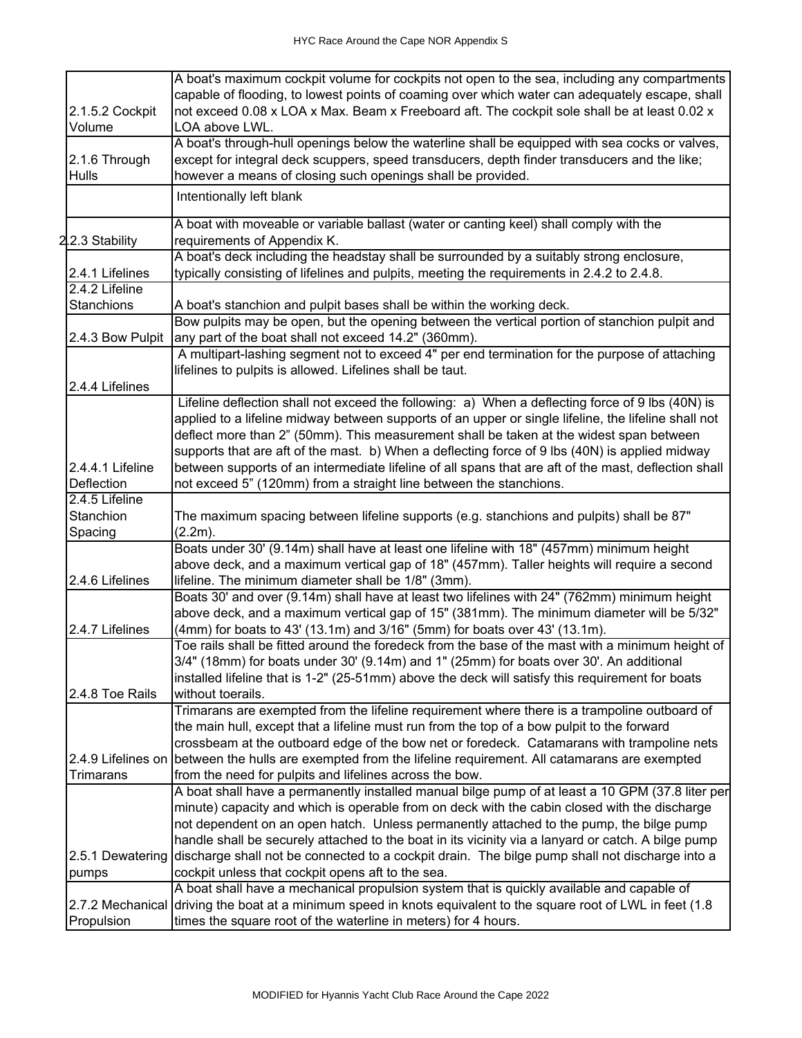|                  | A boat's maximum cockpit volume for cockpits not open to the sea, including any compartments                    |
|------------------|-----------------------------------------------------------------------------------------------------------------|
|                  | capable of flooding, to lowest points of coaming over which water can adequately escape, shall                  |
| 2.1.5.2 Cockpit  | not exceed 0.08 x LOA x Max. Beam x Freeboard aft. The cockpit sole shall be at least 0.02 x                    |
| Volume           | LOA above LWL.                                                                                                  |
|                  | A boat's through-hull openings below the waterline shall be equipped with sea cocks or valves,                  |
| 2.1.6 Through    | except for integral deck scuppers, speed transducers, depth finder transducers and the like;                    |
| <b>Hulls</b>     | however a means of closing such openings shall be provided.                                                     |
|                  | Intentionally left blank                                                                                        |
|                  | A boat with moveable or variable ballast (water or canting keel) shall comply with the                          |
| 2.2.3 Stability  | requirements of Appendix K.                                                                                     |
|                  | A boat's deck including the headstay shall be surrounded by a suitably strong enclosure,                        |
| 2.4.1 Lifelines  | typically consisting of lifelines and pulpits, meeting the requirements in 2.4.2 to 2.4.8.                      |
| 2.4.2 Lifeline   |                                                                                                                 |
| Stanchions       | A boat's stanchion and pulpit bases shall be within the working deck.                                           |
|                  | Bow pulpits may be open, but the opening between the vertical portion of stanchion pulpit and                   |
| 2.4.3 Bow Pulpit | any part of the boat shall not exceed 14.2" (360mm).                                                            |
|                  | A multipart-lashing segment not to exceed 4" per end termination for the purpose of attaching                   |
|                  | lifelines to pulpits is allowed. Lifelines shall be taut.                                                       |
| 2.4.4 Lifelines  |                                                                                                                 |
|                  | Lifeline deflection shall not exceed the following: a) When a deflecting force of 9 lbs (40N) is                |
|                  | applied to a lifeline midway between supports of an upper or single lifeline, the lifeline shall not            |
|                  | deflect more than 2" (50mm). This measurement shall be taken at the widest span between                         |
|                  | supports that are aft of the mast. b) When a deflecting force of 9 lbs (40N) is applied midway                  |
| 2.4.4.1 Lifeline | between supports of an intermediate lifeline of all spans that are aft of the mast, deflection shall            |
| Deflection       | not exceed 5" (120mm) from a straight line between the stanchions.                                              |
| 2.4.5 Lifeline   |                                                                                                                 |
| Stanchion        | The maximum spacing between lifeline supports (e.g. stanchions and pulpits) shall be 87"                        |
| Spacing          | (2.2m).                                                                                                         |
|                  | Boats under 30' (9.14m) shall have at least one lifeline with 18" (457mm) minimum height                        |
|                  | above deck, and a maximum vertical gap of 18" (457mm). Taller heights will require a second                     |
| 2.4.6 Lifelines  | lifeline. The minimum diameter shall be 1/8" (3mm).                                                             |
|                  | Boats 30' and over (9.14m) shall have at least two lifelines with 24" (762mm) minimum height                    |
|                  | above deck, and a maximum vertical gap of 15" (381mm). The minimum diameter will be 5/32"                       |
| 2.4.7 Lifelines  | (4mm) for boats to 43' (13.1m) and 3/16" (5mm) for boats over 43' (13.1m).                                      |
|                  | Toe rails shall be fitted around the foredeck from the base of the mast with a minimum height of                |
|                  | 3/4" (18mm) for boats under 30' (9.14m) and 1" (25mm) for boats over 30'. An additional                         |
|                  | installed lifeline that is 1-2" (25-51mm) above the deck will satisfy this requirement for boats                |
| 2.4.8 Toe Rails  | without toerails.                                                                                               |
|                  | Trimarans are exempted from the lifeline requirement where there is a trampoline outboard of                    |
|                  | the main hull, except that a lifeline must run from the top of a bow pulpit to the forward                      |
|                  | crossbeam at the outboard edge of the bow net or foredeck. Catamarans with trampoline nets                      |
|                  | 2.4.9 Lifelines on between the hulls are exempted from the lifeline requirement. All catamarans are exempted    |
| <b>Trimarans</b> | from the need for pulpits and lifelines across the bow.                                                         |
|                  | A boat shall have a permanently installed manual bilge pump of at least a 10 GPM (37.8 liter per                |
|                  | minute) capacity and which is operable from on deck with the cabin closed with the discharge                    |
|                  | not dependent on an open hatch. Unless permanently attached to the pump, the bilge pump                         |
|                  | handle shall be securely attached to the boat in its vicinity via a lanyard or catch. A bilge pump              |
| 2.5.1 Dewatering | discharge shall not be connected to a cockpit drain. The bilge pump shall not discharge into a                  |
| pumps            | cockpit unless that cockpit opens aft to the sea.                                                               |
|                  | A boat shall have a mechanical propulsion system that is quickly available and capable of                       |
|                  | 2.7.2 Mechanical driving the boat at a minimum speed in knots equivalent to the square root of LWL in feet (1.8 |
| Propulsion       | times the square root of the waterline in meters) for 4 hours.                                                  |
|                  |                                                                                                                 |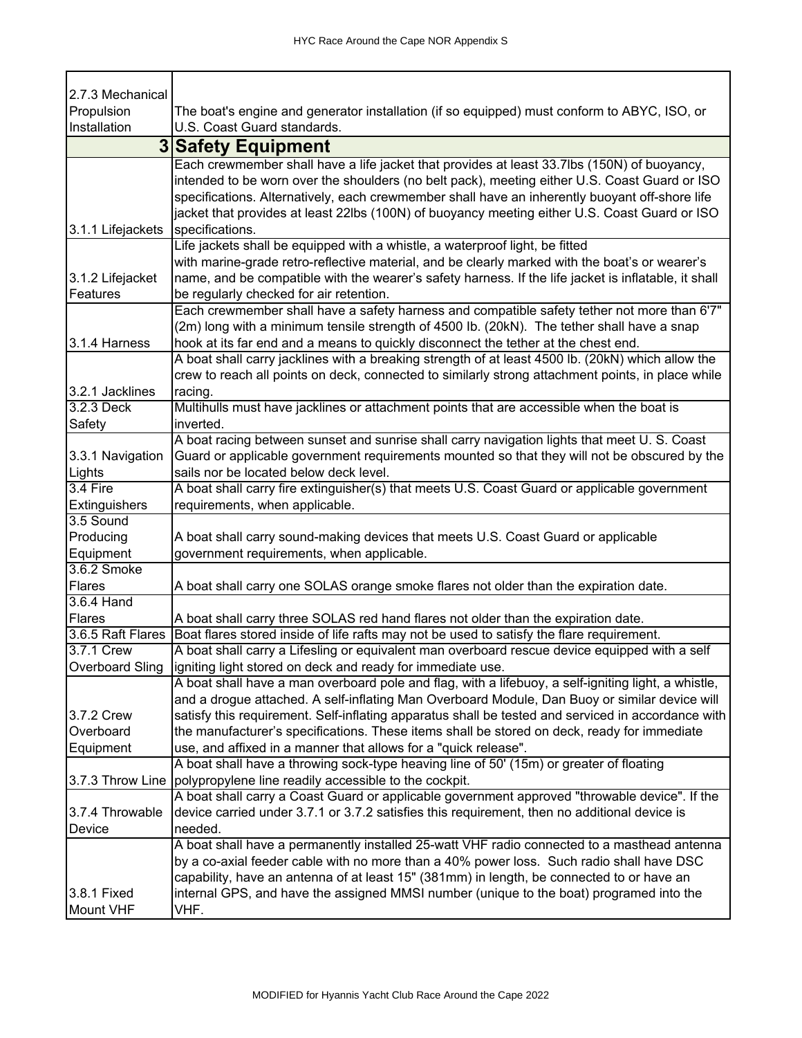٦

Г

T

| 2.7.3 Mechanical       |                                                                                                                                |
|------------------------|--------------------------------------------------------------------------------------------------------------------------------|
| Propulsion             | The boat's engine and generator installation (if so equipped) must conform to ABYC, ISO, or                                    |
| Installation           | U.S. Coast Guard standards.                                                                                                    |
|                        | <b>3 Safety Equipment</b>                                                                                                      |
|                        | Each crewmember shall have a life jacket that provides at least 33.7lbs (150N) of buoyancy,                                    |
|                        | intended to be worn over the shoulders (no belt pack), meeting either U.S. Coast Guard or ISO                                  |
|                        | specifications. Alternatively, each crewmember shall have an inherently buoyant off-shore life                                 |
|                        | jacket that provides at least 22lbs (100N) of buoyancy meeting either U.S. Coast Guard or ISO                                  |
| 3.1.1 Lifejackets      | specifications.                                                                                                                |
|                        | Life jackets shall be equipped with a whistle, a waterproof light, be fitted                                                   |
|                        | with marine-grade retro-reflective material, and be clearly marked with the boat's or wearer's                                 |
| 3.1.2 Lifejacket       | name, and be compatible with the wearer's safety harness. If the life jacket is inflatable, it shall                           |
| Features               | be regularly checked for air retention.                                                                                        |
|                        | Each crewmember shall have a safety harness and compatible safety tether not more than 6'7"                                    |
|                        | (2m) long with a minimum tensile strength of 4500 lb. (20kN). The tether shall have a snap                                     |
| 3.1.4 Harness          | hook at its far end and a means to quickly disconnect the tether at the chest end.                                             |
|                        | A boat shall carry jacklines with a breaking strength of at least 4500 lb. (20kN) which allow the                              |
|                        | crew to reach all points on deck, connected to similarly strong attachment points, in place while                              |
| 3.2.1 Jacklines        | racing.                                                                                                                        |
| 3.2.3 Deck             | Multihulls must have jacklines or attachment points that are accessible when the boat is                                       |
| Safety                 | inverted.                                                                                                                      |
|                        | A boat racing between sunset and sunrise shall carry navigation lights that meet U. S. Coast                                   |
| 3.3.1 Navigation       | Guard or applicable government requirements mounted so that they will not be obscured by the                                   |
| Lights                 | sails nor be located below deck level.                                                                                         |
| 3.4 Fire               | A boat shall carry fire extinguisher(s) that meets U.S. Coast Guard or applicable government                                   |
| Extinguishers          | requirements, when applicable.                                                                                                 |
| 3.5 Sound              |                                                                                                                                |
| Producing<br>Equipment | A boat shall carry sound-making devices that meets U.S. Coast Guard or applicable<br>government requirements, when applicable. |
| 3.6.2 Smoke            |                                                                                                                                |
| Flares                 | A boat shall carry one SOLAS orange smoke flares not older than the expiration date.                                           |
| 3.6.4 Hand             |                                                                                                                                |
| Flares                 | A boat shall carry three SOLAS red hand flares not older than the expiration date.                                             |
|                        | 3.6.5 Raft Flares Boat flares stored inside of life rafts may not be used to satisfy the flare requirement.                    |
| 3.7.1 Crew             | A boat shall carry a Lifesling or equivalent man overboard rescue device equipped with a self                                  |
|                        | Overboard Sling   igniting light stored on deck and ready for immediate use.                                                   |
|                        | A boat shall have a man overboard pole and flag, with a lifebuoy, a self-igniting light, a whistle,                            |
|                        | and a drogue attached. A self-inflating Man Overboard Module, Dan Buoy or similar device will                                  |
| 3.7.2 Crew             | satisfy this requirement. Self-inflating apparatus shall be tested and serviced in accordance with                             |
| Overboard              | the manufacturer's specifications. These items shall be stored on deck, ready for immediate                                    |
| Equipment              | use, and affixed in a manner that allows for a "quick release".                                                                |
|                        | A boat shall have a throwing sock-type heaving line of 50' (15m) or greater of floating                                        |
|                        | 3.7.3 Throw Line   polypropylene line readily accessible to the cockpit.                                                       |
|                        | A boat shall carry a Coast Guard or applicable government approved "throwable device". If the                                  |
| 3.7.4 Throwable        | device carried under 3.7.1 or 3.7.2 satisfies this requirement, then no additional device is                                   |
| Device                 | needed.                                                                                                                        |
|                        | A boat shall have a permanently installed 25-watt VHF radio connected to a masthead antenna                                    |
|                        | by a co-axial feeder cable with no more than a 40% power loss. Such radio shall have DSC                                       |
|                        | capability, have an antenna of at least 15" (381mm) in length, be connected to or have an                                      |
| 3.8.1 Fixed            | internal GPS, and have the assigned MMSI number (unique to the boat) programed into the                                        |
| Mount VHF              | VHF.                                                                                                                           |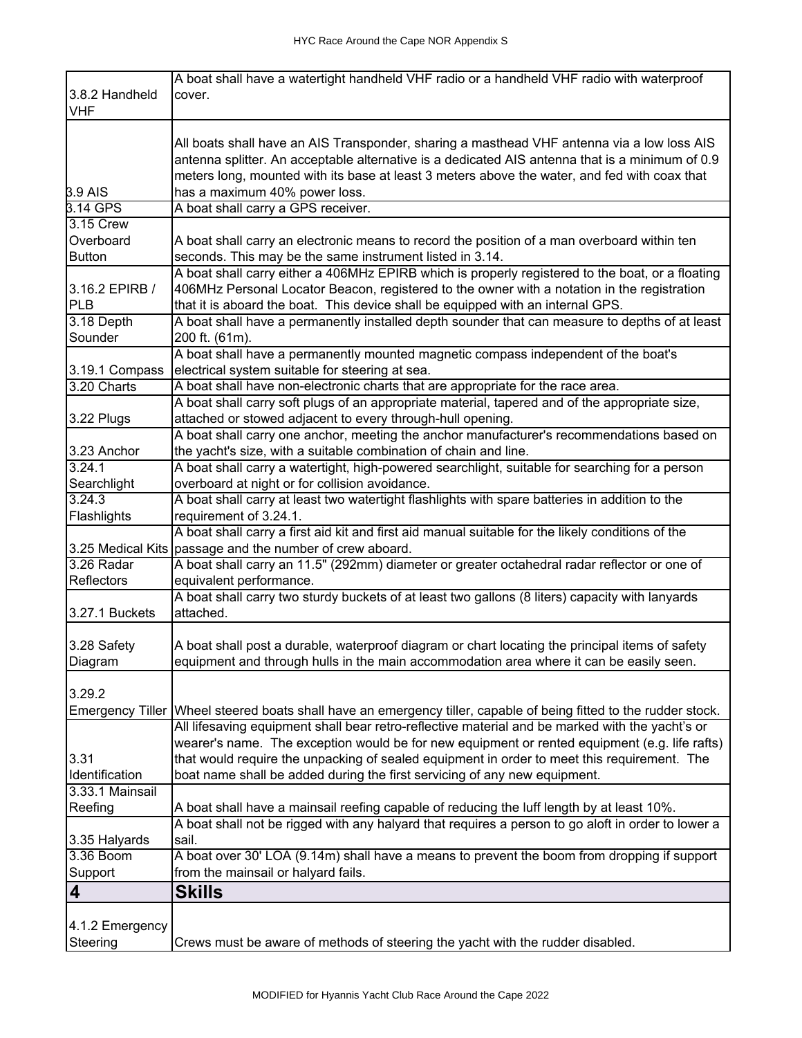|                               | A boat shall have a watertight handheld VHF radio or a handheld VHF radio with waterproof                         |
|-------------------------------|-------------------------------------------------------------------------------------------------------------------|
| 3.8.2 Handheld                | cover.                                                                                                            |
| <b>VHF</b>                    |                                                                                                                   |
|                               |                                                                                                                   |
|                               | All boats shall have an AIS Transponder, sharing a masthead VHF antenna via a low loss AIS                        |
|                               | antenna splitter. An acceptable alternative is a dedicated AIS antenna that is a minimum of 0.9                   |
|                               | meters long, mounted with its base at least 3 meters above the water, and fed with coax that                      |
| 3.9 AIS                       | has a maximum 40% power loss.                                                                                     |
| 3.14 GPS                      | A boat shall carry a GPS receiver.                                                                                |
| 3.15 Crew                     |                                                                                                                   |
| Overboard                     | A boat shall carry an electronic means to record the position of a man overboard within ten                       |
| <b>Button</b>                 | seconds. This may be the same instrument listed in 3.14.                                                          |
|                               | A boat shall carry either a 406MHz EPIRB which is properly registered to the boat, or a floating                  |
| 3.16.2 EPIRB /                | 406MHz Personal Locator Beacon, registered to the owner with a notation in the registration                       |
| PLB                           | that it is aboard the boat. This device shall be equipped with an internal GPS.                                   |
| 3.18 Depth                    | A boat shall have a permanently installed depth sounder that can measure to depths of at least                    |
| Sounder                       | 200 ft. (61m).                                                                                                    |
|                               | A boat shall have a permanently mounted magnetic compass independent of the boat's                                |
|                               |                                                                                                                   |
| 3.19.1 Compass<br>3.20 Charts | electrical system suitable for steering at sea.                                                                   |
|                               | A boat shall have non-electronic charts that are appropriate for the race area.                                   |
|                               | A boat shall carry soft plugs of an appropriate material, tapered and of the appropriate size,                    |
| 3.22 Plugs                    | attached or stowed adjacent to every through-hull opening.                                                        |
|                               | A boat shall carry one anchor, meeting the anchor manufacturer's recommendations based on                         |
| 3.23 Anchor                   | the yacht's size, with a suitable combination of chain and line.                                                  |
| 3.24.1                        | A boat shall carry a watertight, high-powered searchlight, suitable for searching for a person                    |
| Searchlight                   | overboard at night or for collision avoidance.                                                                    |
| 3.24.3                        | A boat shall carry at least two watertight flashlights with spare batteries in addition to the                    |
| Flashlights                   | requirement of 3.24.1.                                                                                            |
|                               | A boat shall carry a first aid kit and first aid manual suitable for the likely conditions of the                 |
|                               | 3.25 Medical Kits passage and the number of crew aboard.                                                          |
| 3.26 Radar                    | A boat shall carry an 11.5" (292mm) diameter or greater octahedral radar reflector or one of                      |
| Reflectors                    | equivalent performance.                                                                                           |
|                               | A boat shall carry two sturdy buckets of at least two gallons (8 liters) capacity with lanyards                   |
| 3.27.1 Buckets                | attached.                                                                                                         |
|                               |                                                                                                                   |
| 3.28 Safety                   | A boat shall post a durable, waterproof diagram or chart locating the principal items of safety                   |
| Diagram                       | equipment and through hulls in the main accommodation area where it can be easily seen.                           |
|                               |                                                                                                                   |
| 3.29.2                        |                                                                                                                   |
|                               | Emergency Tiller Wheel steered boats shall have an emergency tiller, capable of being fitted to the rudder stock. |
|                               | All lifesaving equipment shall bear retro-reflective material and be marked with the yacht's or                   |
|                               | wearer's name. The exception would be for new equipment or rented equipment (e.g. life rafts)                     |
| 3.31                          | that would require the unpacking of sealed equipment in order to meet this requirement. The                       |
| Identification                | boat name shall be added during the first servicing of any new equipment.                                         |
| 3.33.1 Mainsail               |                                                                                                                   |
| Reefing                       |                                                                                                                   |
|                               | A boat shall have a mainsail reefing capable of reducing the luff length by at least 10%.                         |
|                               | A boat shall not be rigged with any halyard that requires a person to go aloft in order to lower a                |
| 3.35 Halyards                 | sail.                                                                                                             |
| 3.36 Boom                     | A boat over 30' LOA (9.14m) shall have a means to prevent the boom from dropping if support                       |
| Support                       | from the mainsail or halyard fails.                                                                               |
| 4                             | <b>Skills</b>                                                                                                     |
|                               |                                                                                                                   |
| 4.1.2 Emergency               |                                                                                                                   |
| Steering                      | Crews must be aware of methods of steering the yacht with the rudder disabled.                                    |
|                               |                                                                                                                   |